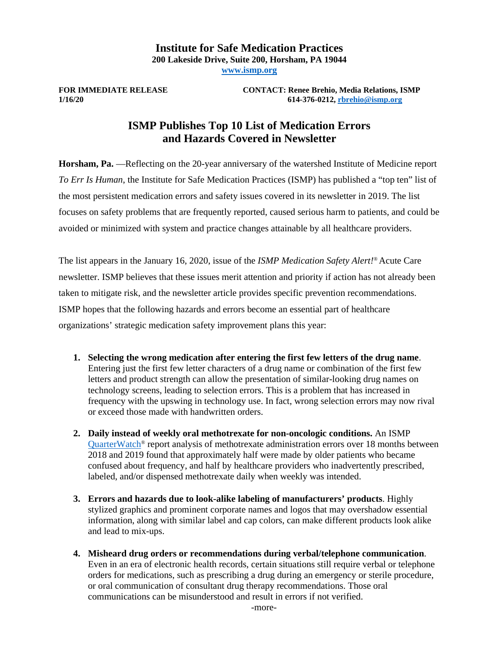### **Institute for Safe Medication Practices 200 Lakeside Drive, Suite 200, Horsham, PA 19044 [www.ismp.org](http://www.ismp.org/)**

**FOR IMMEDIATE RELEASE CONTACT: Renee Brehio, Media Relations, ISMP 1/16/20 614-376-0212[, rbrehio@ismp.org](mailto:rbrehio@ismp.org)**

# **ISMP Publishes Top 10 List of Medication Errors and Hazards Covered in Newsletter**

**Horsham, Pa.** —Reflecting on the 20-year anniversary of the watershed Institute of Medicine report *To Err Is Human*, the Institute for Safe Medication Practices (ISMP) has published a "top ten" list of the most persistent medication errors and safety issues covered in its newsletter in 2019. The list focuses on safety problems that are frequently reported, caused serious harm to patients, and could be avoided or minimized with system and practice changes attainable by all healthcare providers.

The list appears in the January 16, 2020, issue of the *ISMP Medication Safety Alert!*® Acute Care newsletter. ISMP believes that these issues merit attention and priority if action has not already been taken to mitigate risk, and the newsletter article provides specific prevention recommendations. ISMP hopes that the following hazards and errors become an essential part of healthcare organizations' strategic medication safety improvement plans this year:

- **1. Selecting the wrong medication after entering the first few letters of the drug name**. Entering just the first few letter characters of a drug name or combination of the first few letters and product strength can allow the presentation of similar-looking drug names on technology screens, leading to selection errors. This is a problem that has increased in frequency with the upswing in technology use. In fact, wrong selection errors may now rival or exceed those made with handwritten orders.
- **2. Daily instead of weekly oral methotrexate for non-oncologic conditions.** An ISMP QuarterWatch<sup>®</sup> report analysis of methotrexate administration errors over 18 months between 2018 and 2019 found that approximately half were made by older patients who became confused about frequency, and half by healthcare providers who inadvertently prescribed, labeled, and/or dispensed methotrexate daily when weekly was intended.
- **3. Errors and hazards due to look-alike labeling of manufacturers' products**. Highly stylized graphics and prominent corporate names and logos that may overshadow essential information, along with similar label and cap colors, can make different products look alike and lead to mix-ups.
- **4. Misheard drug orders or recommendations during verbal/telephone communication**. Even in an era of electronic health records, certain situations still require verbal or telephone orders for medications, such as prescribing a drug during an emergency or sterile procedure, or oral communication of consultant drug therapy recommendations. Those oral communications can be misunderstood and result in errors if not verified.

-more-